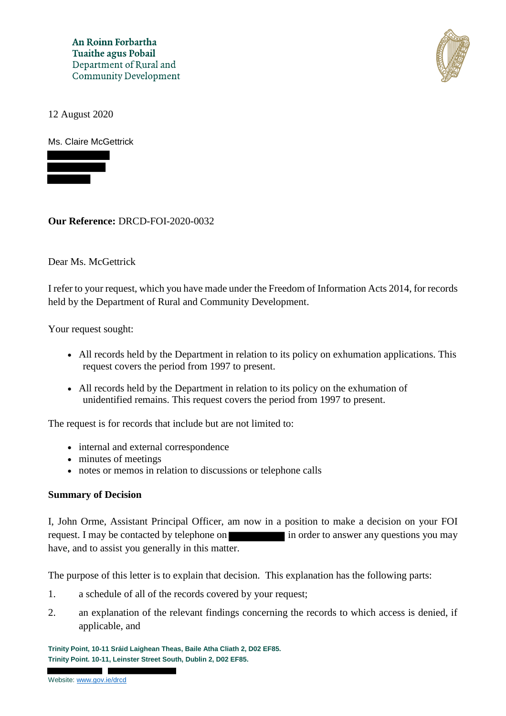An Roinn Forbartha **Tuaithe agus Pobail** Department of Rural and **Community Development** 



12 August 2020

Ms. Claire McGettrick



**Our Reference:** DRCD-FOI-2020-0032

Dear Ms. McGettrick

I refer to your request, which you have made under the Freedom of Information Acts 2014, for records held by the Department of Rural and Community Development.

Your request sought:

- All records held by the Department in relation to its policy on exhumation applications. This request covers the period from 1997 to present.
- All records held by the Department in relation to its policy on the exhumation of unidentified remains. This request covers the period from 1997 to present.

The request is for records that include but are not limited to:

- internal and external correspondence
- minutes of meetings
- notes or memos in relation to discussions or telephone calls

#### **Summary of Decision**

I, John Orme, Assistant Principal Officer, am now in a position to make a decision on your FOI request. I may be contacted by telephone on in order to answer any questions you may have, and to assist you generally in this matter.

The purpose of this letter is to explain that decision. This explanation has the following parts:

- 1. a schedule of all of the records covered by your request;
- 2. an explanation of the relevant findings concerning the records to which access is denied, if applicable, and

**Trinity Point, 10-11 Sráid Laighean Theas, Baile Atha Cliath 2, D02 EF85. Trinity Point. 10-11, Leinster Street South, Dublin 2, D02 EF85.**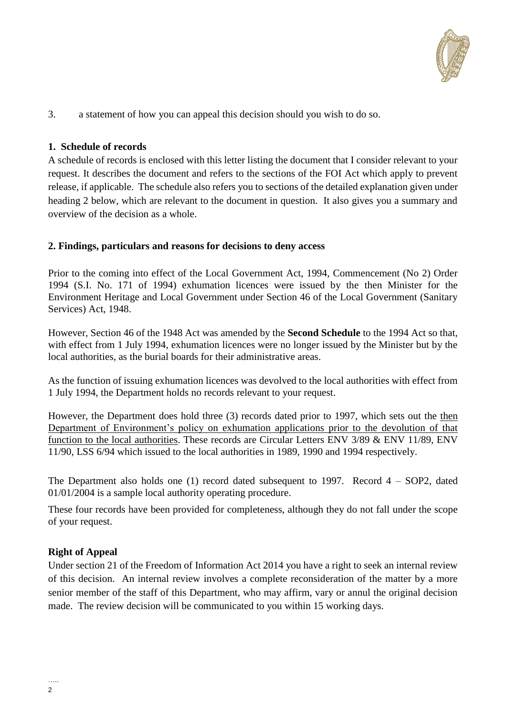

3. a statement of how you can appeal this decision should you wish to do so.

## **1. Schedule of records**

A schedule of records is enclosed with this letter listing the document that I consider relevant to your request. It describes the document and refers to the sections of the FOI Act which apply to prevent release, if applicable. The schedule also refers you to sections of the detailed explanation given under heading 2 below, which are relevant to the document in question. It also gives you a summary and overview of the decision as a whole.

### **2. Findings, particulars and reasons for decisions to deny access**

Prior to the coming into effect of the Local Government Act, 1994, Commencement (No 2) Order 1994 (S.I. No. 171 of 1994) exhumation licences were issued by the then Minister for the Environment Heritage and Local Government under Section 46 of the Local Government (Sanitary Services) Act, 1948.

However, Section 46 of the 1948 Act was amended by the **Second Schedule** to the 1994 Act so that, with effect from 1 July 1994, exhumation licences were no longer issued by the Minister but by the local authorities, as the burial boards for their administrative areas.

As the function of issuing exhumation licences was devolved to the local authorities with effect from 1 July 1994, the Department holds no records relevant to your request.

However, the Department does hold three (3) records dated prior to 1997, which sets out the then Department of Environment's policy on exhumation applications prior to the devolution of that function to the local authorities. These records are Circular Letters ENV 3/89 & ENV 11/89, ENV 11/90, LSS 6/94 which issued to the local authorities in 1989, 1990 and 1994 respectively.

The Department also holds one (1) record dated subsequent to 1997. Record 4 – SOP2, dated 01/01/2004 is a sample local authority operating procedure.

These four records have been provided for completeness, although they do not fall under the scope of your request.

## **Right of Appeal**

Under section 21 of the Freedom of Information Act 2014 you have a right to seek an internal review of this decision. An internal review involves a complete reconsideration of the matter by a more senior member of the staff of this Department, who may affirm, vary or annul the original decision made. The review decision will be communicated to you within 15 working days.